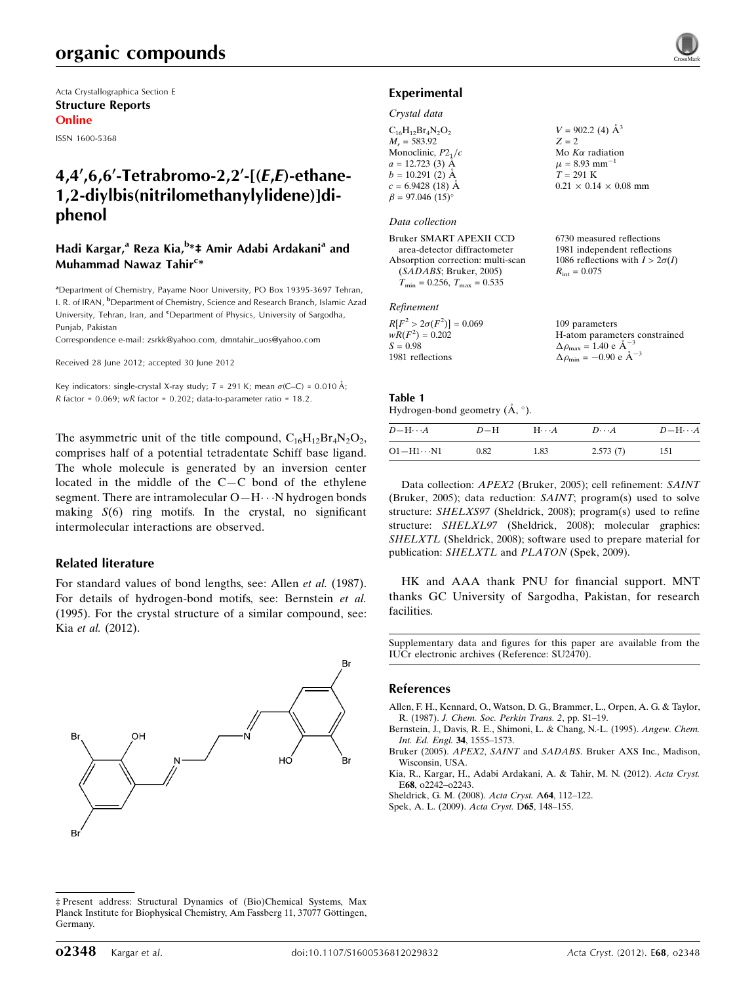Acta Crystallographica Section E Structure Reports Online

ISSN 1600-5368

# 4,4',6,6'-Tetrabromo-2,2'-[ $(E,E)$ -ethane-1,2-diylbis(nitrilomethanylylidene)]diphenol

## Hadi Kargar,<sup>a</sup> Reza Kia,<sup>b</sup>\*‡ Amir Adabi Ardakani<sup>a</sup> and Muhammad Nawaz Tahir<sup>c</sup>\*

<sup>a</sup> Department of Chemistry, Payame Noor University, PO Box 19395-3697 Tehran, I. R. of IRAN, <sup>b</sup>Department of Chemistry, Science and Research Branch, Islamic Azad University, Tehran, Iran, and <sup>c</sup>Department of Physics, University of Sargodha, Punjab, Pakistan

Correspondence e-mail: [zsrkk@yahoo.com](http://scripts.iucr.org/cgi-bin/cr.cgi?rm=pdfbb&cnor=su2470&bbid=BB8), [dmntahir\\_uos@yahoo.com](http://scripts.iucr.org/cgi-bin/cr.cgi?rm=pdfbb&cnor=su2470&bbid=BB8)

Received 28 June 2012; accepted 30 June 2012

Key indicators: single-crystal X-ray study;  $T = 291$  K; mean  $\sigma$ (C–C) = 0.010 Å;  $R$  factor = 0.069; wR factor = 0.202; data-to-parameter ratio = 18.2.

The asymmetric unit of the title compound,  $C_{16}H_{12}Br_4N_2O_2$ , comprises half of a potential tetradentate Schiff base ligand. The whole molecule is generated by an inversion center located in the middle of the C—C bond of the ethylene segment. There are intramolecular O-H $\cdots$ N hydrogen bonds making  $S(6)$  ring motifs. In the crystal, no significant intermolecular interactions are observed.

### Related literature

For standard values of bond lengths, see: Allen et al. (1987). For details of hydrogen-bond motifs, see: Bernstein et al. (1995). For the crystal structure of a similar compound, see: Kia et al. (2012).



<sup>‡</sup> Present address: Structural Dynamics of (Bio)Chemical Systems, Max Planck Institute for Biophysical Chemistry, Am Fassberg 11, 37077 Göttingen, Germany.



## Experimental

#### Crystal data

|                          | $V = 902.2$ (4) $\AA^3$           |
|--------------------------|-----------------------------------|
| $C_{16}H_{12}Br_4N_2O_2$ |                                   |
| $M_r = 583.92$           | $Z = 2$                           |
| Monoclinic, $P2_1/c$     | Mo $K\alpha$ radiation            |
| $a = 12.723$ (3) Å       | $\mu = 8.93$ mm <sup>-1</sup>     |
| $b = 10.291(2)$ Å        | $T = 291$ K                       |
| $c = 6.9428(18)$ Å       | $0.21 \times 0.14 \times 0.08$ mm |
| $\beta = 97.046~(15)$ °  |                                   |

### Data collection

Bruker SMART APEXII CCD area-detector diffractometer Absorption correction: multi-scan (SADABS; Bruker, 2005)  $T_{\text{min}} = 0.256$ ,  $T_{\text{max}} = 0.535$ 

#### Refinement

| $R[F^2 > 2\sigma(F^2)] = 0.069$ | 109 parameters                                      |
|---------------------------------|-----------------------------------------------------|
| $wR(F^2) = 0.202$               | H-atom parameters constrained                       |
| $S = 0.98$                      | $\Delta \rho_{\text{max}} = 1.40 \text{ e A}^{-3}$  |
| 1981 reflections                | $\Delta \rho_{\text{min}} = -0.90 \text{ e A}^{-3}$ |

6730 measured reflections 1981 independent reflections 1086 reflections with  $I > 2\sigma(I)$ 

 $R_{\text{int}} = 0.075$ 

### Table 1

| Hydrogen-bond geometry $(\dot{A}, \circ)$ . |                           |  |  |  |              |  |  |
|---------------------------------------------|---------------------------|--|--|--|--------------|--|--|
|                                             | $\mathbf{r}$ $\mathbf{r}$ |  |  |  | $\mathbf{r}$ |  |  |

| $D - H \cdots A$    | $D-H$ | $H\cdots A$ | $D\cdots A$ | $D - H \cdots A$ |
|---------------------|-------|-------------|-------------|------------------|
| $O1 - H1 \cdots N1$ | 0.82  | 1.83        | 2.573(7)    | 151              |

Data collection: APEX2 (Bruker, 2005); cell refinement: SAINT (Bruker, 2005); data reduction: SAINT; program(s) used to solve structure: SHELXS97 (Sheldrick, 2008); program(s) used to refine structure: SHELXL97 (Sheldrick, 2008); molecular graphics: SHELXTL (Sheldrick, 2008); software used to prepare material for publication: SHELXTL and PLATON (Spek, 2009).

HK and AAA thank PNU for financial support. MNT thanks GC University of Sargodha, Pakistan, for research facilities.

Supplementary data and figures for this paper are available from the IUCr electronic archives (Reference: SU2470).

### References

[Allen, F. H., Kennard, O., Watson, D. G., Brammer, L., Orpen, A. G. & Taylor,](http://scripts.iucr.org/cgi-bin/cr.cgi?rm=pdfbb&cnor=su2470&bbid=BB1) R. (1987). [J. Chem. Soc. Perkin Trans. 2](http://scripts.iucr.org/cgi-bin/cr.cgi?rm=pdfbb&cnor=su2470&bbid=BB1), pp. S1–19.

[Bernstein, J., Davis, R. E., Shimoni, L. & Chang, N.-L. \(1995\).](http://scripts.iucr.org/cgi-bin/cr.cgi?rm=pdfbb&cnor=su2470&bbid=BB2) Angew. Chem. [Int. Ed. Engl.](http://scripts.iucr.org/cgi-bin/cr.cgi?rm=pdfbb&cnor=su2470&bbid=BB2) 34, 1555–1573.

Bruker (2005). APEX2, SAINT and SADABS[. Bruker AXS Inc., Madison,](http://scripts.iucr.org/cgi-bin/cr.cgi?rm=pdfbb&cnor=su2470&bbid=BB3) [Wisconsin, USA.](http://scripts.iucr.org/cgi-bin/cr.cgi?rm=pdfbb&cnor=su2470&bbid=BB3)

[Kia, R., Kargar, H., Adabi Ardakani, A. & Tahir, M. N. \(2012\).](http://scripts.iucr.org/cgi-bin/cr.cgi?rm=pdfbb&cnor=su2470&bbid=BB5) Acta Cryst. E68[, o2242–o2243.](http://scripts.iucr.org/cgi-bin/cr.cgi?rm=pdfbb&cnor=su2470&bbid=BB5)

[Sheldrick, G. M. \(2008\).](http://scripts.iucr.org/cgi-bin/cr.cgi?rm=pdfbb&cnor=su2470&bbid=BB7) Acta Cryst. A64, 112–122.

[Spek, A. L. \(2009\).](http://scripts.iucr.org/cgi-bin/cr.cgi?rm=pdfbb&cnor=su2470&bbid=BB8) Acta Cryst. D65, 148–155.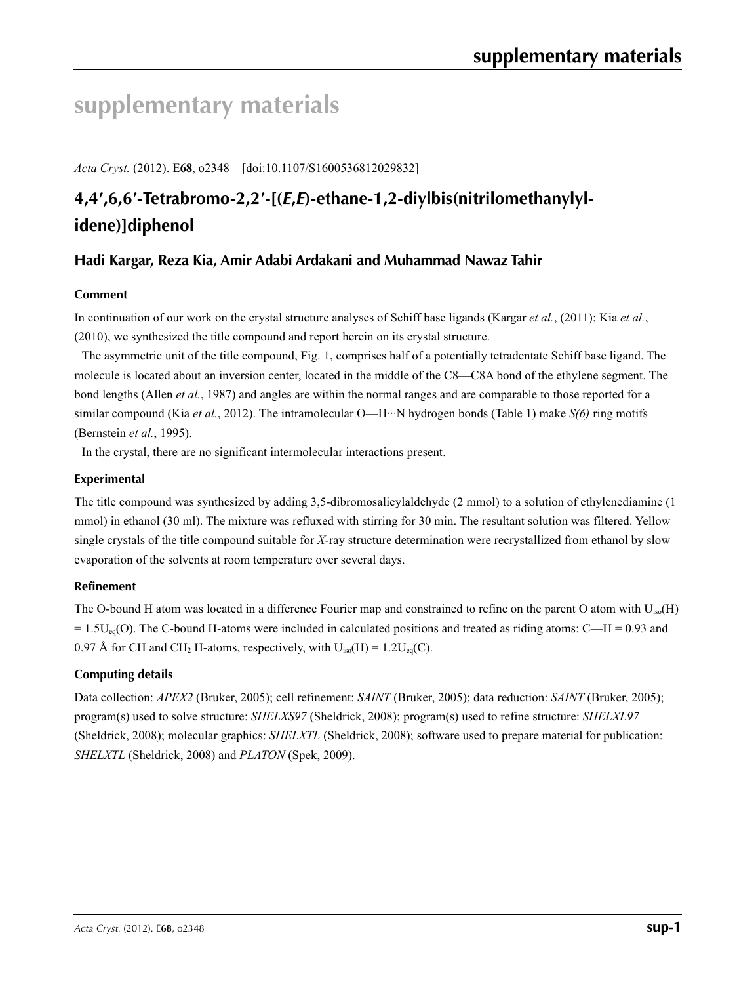# **supplementary materials**

*Acta Cryst.* (2012). E**68**, o2348 [doi:10.1107/S1600536812029832]

# **4,4′,6,6′-Tetrabromo-2,2′-[(***E***,***E***)-ethane-1,2-diylbis(nitrilomethanylylidene)]diphenol**

## **Hadi Kargar, Reza Kia, Amir Adabi Ardakani and Muhammad Nawaz Tahir**

## **Comment**

In continuation of our work on the crystal structure analyses of Schiff base ligands (Kargar *et al.*, (2011); Kia *et al.*, (2010), we synthesized the title compound and report herein on its crystal structure.

The asymmetric unit of the title compound, Fig. 1, comprises half of a potentially tetradentate Schiff base ligand. The molecule is located about an inversion center, located in the middle of the C8—C8A bond of the ethylene segment. The bond lengths (Allen *et al.*, 1987) and angles are within the normal ranges and are comparable to those reported for a similar compound (Kia *et al.*, 2012). The intramolecular O—H···N hydrogen bonds (Table 1) make *S(6)* ring motifs (Bernstein *et al.*, 1995).

In the crystal, there are no significant intermolecular interactions present.

## **Experimental**

The title compound was synthesized by adding 3,5-dibromosalicylaldehyde (2 mmol) to a solution of ethylenediamine (1 mmol) in ethanol (30 ml). The mixture was refluxed with stirring for 30 min. The resultant solution was filtered. Yellow single crystals of the title compound suitable for *X*-ray structure determination were recrystallized from ethanol by slow evaporation of the solvents at room temperature over several days.

## **Refinement**

The O-bound H atom was located in a difference Fourier map and constrained to refine on the parent O atom with  $U_{iso}(H)$  $= 1.5U_{eq}(O)$ . The C-bound H-atoms were included in calculated positions and treated as riding atoms: C—H = 0.93 and 0.97 Å for CH and CH<sub>2</sub> H-atoms, respectively, with  $U_{iso}(H) = 1.2U_{eq}(C)$ .

## **Computing details**

Data collection: *APEX2* (Bruker, 2005); cell refinement: *SAINT* (Bruker, 2005); data reduction: *SAINT* (Bruker, 2005); program(s) used to solve structure: *SHELXS97* (Sheldrick, 2008); program(s) used to refine structure: *SHELXL97* (Sheldrick, 2008); molecular graphics: *SHELXTL* (Sheldrick, 2008); software used to prepare material for publication: *SHELXTL* (Sheldrick, 2008) and *PLATON* (Spek, 2009).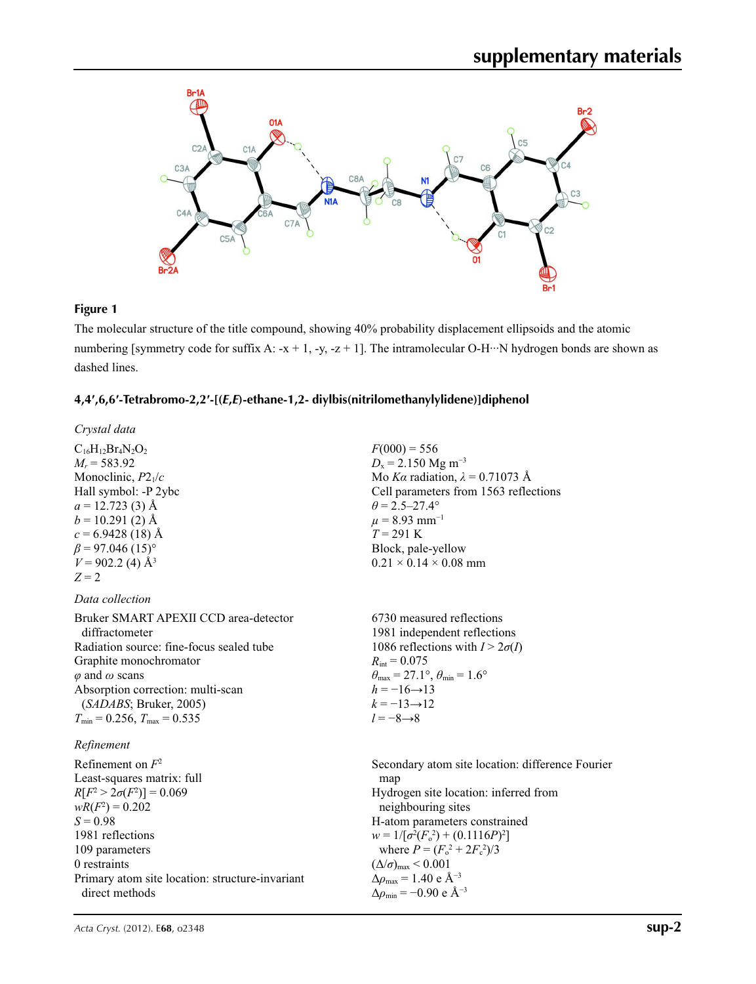

## **Figure 1**

The molecular structure of the title compound, showing 40% probability displacement ellipsoids and the atomic numbering [symmetry code for suffix A: -x + 1, -y, -z + 1]. The intramolecular O-H···N hydrogen bonds are shown as dashed lines.

### **4,4′,6,6′-Tetrabromo-2,2′-[(***E***,***E***)-ethane-1,2- diylbis(nitrilomethanylylidene)]diphenol**

| Crystal data                                                                                                                                                                                                                                                                       |                                                                                                                                                                                                                                                                                                                                                                                                   |
|------------------------------------------------------------------------------------------------------------------------------------------------------------------------------------------------------------------------------------------------------------------------------------|---------------------------------------------------------------------------------------------------------------------------------------------------------------------------------------------------------------------------------------------------------------------------------------------------------------------------------------------------------------------------------------------------|
| $C_{16}H_{12}Br_4N_2O_2$<br>$M_r = 583.92$<br>Monoclinic, $P2_1/c$<br>Hall symbol: -P 2ybc<br>$a = 12.723$ (3) Å<br>$b = 10.291(2)$ Å<br>$c = 6.9428(18)$ Å<br>$\beta$ = 97.046 (15)°<br>$V = 902.2$ (4) Å <sup>3</sup><br>$Z=2$                                                   | $F(000) = 556$<br>$D_x = 2.150$ Mg m <sup>-3</sup><br>Mo Ka radiation, $\lambda = 0.71073$ Å<br>Cell parameters from 1563 reflections<br>$\theta = 2.5 - 27.4^{\circ}$<br>$\mu$ = 8.93 mm <sup>-1</sup><br>$T = 291 K$<br>Block, pale-yellow<br>$0.21 \times 0.14 \times 0.08$ mm                                                                                                                 |
| Data collection                                                                                                                                                                                                                                                                    |                                                                                                                                                                                                                                                                                                                                                                                                   |
| Bruker SMART APEXII CCD area-detector<br>diffractometer<br>Radiation source: fine-focus sealed tube<br>Graphite monochromator<br>$\varphi$ and $\omega$ scans<br>Absorption correction: multi-scan<br>(SADABS; Bruker, 2005)<br>$T_{\text{min}}$ = 0.256, $T_{\text{max}}$ = 0.535 | 6730 measured reflections<br>1981 independent reflections<br>1086 reflections with $I > 2\sigma(I)$<br>$R_{\text{int}} = 0.075$<br>$\theta_{\text{max}} = 27.1^{\circ}, \theta_{\text{min}} = 1.6^{\circ}$<br>$h = -16 \rightarrow 13$<br>$k = -13 \rightarrow 12$<br>$l = -8 \rightarrow 8$                                                                                                      |
| Refinement<br>Refinement on $F^2$<br>Least-squares matrix: full<br>$R[F^2 > 2\sigma(F^2)] = 0.069$<br>$wR(F^2) = 0.202$<br>$S = 0.98$<br>1981 reflections<br>109 parameters<br>0 restraints<br>Primary atom site location: structure-invariant<br>direct methods                   | Secondary atom site location: difference Fourier<br>map<br>Hydrogen site location: inferred from<br>neighbouring sites<br>H-atom parameters constrained<br>$w = 1/[\sigma^2(F_0^2) + (0.1116P)^2]$<br>where $P = (F_o^2 + 2F_s^2)/3$<br>$(\Delta/\sigma)_{\text{max}}$ < 0.001<br>$\Delta\rho_{\text{max}} = 1.40 \text{ e } \text{\AA}^{-3}$<br>$\Delta\rho_{\rm min}$ = -0.90 e Å <sup>-3</sup> |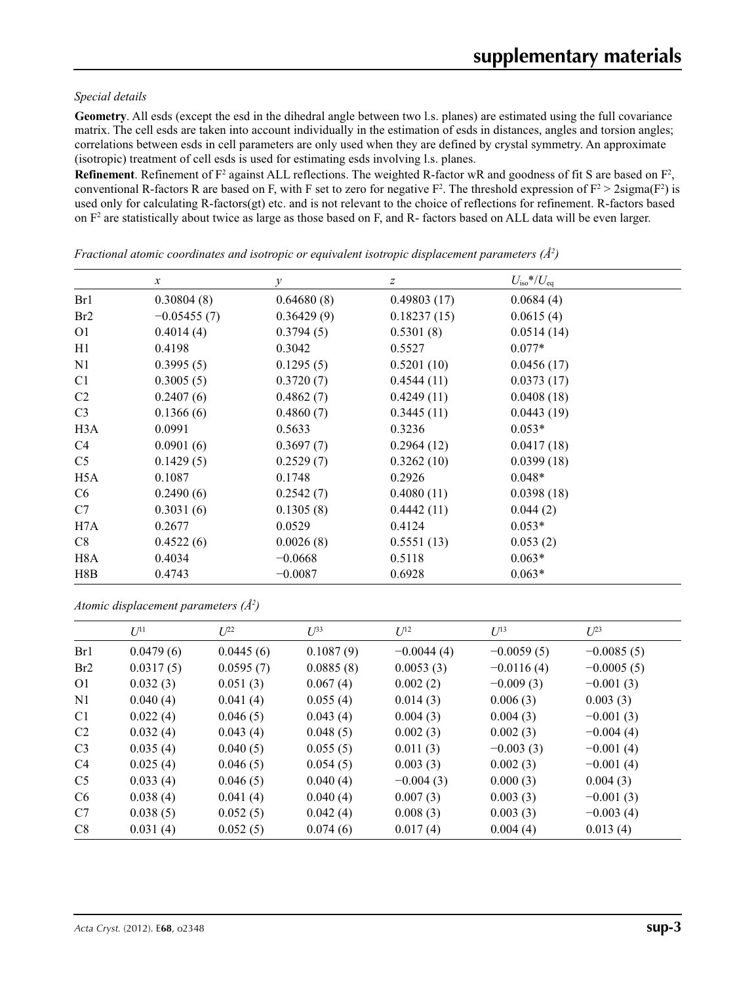### *Special details*

**Geometry**. All esds (except the esd in the dihedral angle between two l.s. planes) are estimated using the full covariance matrix. The cell esds are taken into account individually in the estimation of esds in distances, angles and torsion angles; correlations between esds in cell parameters are only used when they are defined by crystal symmetry. An approximate (isotropic) treatment of cell esds is used for estimating esds involving l.s. planes.

**Refinement**. Refinement of  $F^2$  against ALL reflections. The weighted R-factor wR and goodness of fit S are based on  $F^2$ , conventional R-factors R are based on F, with F set to zero for negative  $F^2$ . The threshold expression of  $F^2 > 2 \text{sigma}(F^2)$  is used only for calculating R-factors(gt) etc. and is not relevant to the choice of reflections for refinement. R-factors based on  $F<sup>2</sup>$  are statistically about twice as large as those based on F, and R- factors based on ALL data will be even larger.

|                  | $\boldsymbol{x}$ | $\mathcal{Y}$ | $\boldsymbol{Z}$ | $U_{\rm iso}*/U_{\rm eq}$ |  |
|------------------|------------------|---------------|------------------|---------------------------|--|
| Br1              | 0.30804(8)       | 0.64680(8)    | 0.49803(17)      | 0.0684(4)                 |  |
| Br2              | $-0.05455(7)$    | 0.36429(9)    | 0.18237(15)      | 0.0615(4)                 |  |
| O <sub>1</sub>   | 0.4014(4)        | 0.3794(5)     | 0.5301(8)        | 0.0514(14)                |  |
| H1               | 0.4198           | 0.3042        | 0.5527           | $0.077*$                  |  |
| N <sub>1</sub>   | 0.3995(5)        | 0.1295(5)     | 0.5201(10)       | 0.0456(17)                |  |
| C <sub>1</sub>   | 0.3005(5)        | 0.3720(7)     | 0.4544(11)       | 0.0373(17)                |  |
| C <sub>2</sub>   | 0.2407(6)        | 0.4862(7)     | 0.4249(11)       | 0.0408(18)                |  |
| C <sub>3</sub>   | 0.1366(6)        | 0.4860(7)     | 0.3445(11)       | 0.0443(19)                |  |
| H <sub>3</sub> A | 0.0991           | 0.5633        | 0.3236           | $0.053*$                  |  |
| C4               | 0.0901(6)        | 0.3697(7)     | 0.2964(12)       | 0.0417(18)                |  |
| C <sub>5</sub>   | 0.1429(5)        | 0.2529(7)     | 0.3262(10)       | 0.0399(18)                |  |
| H <sub>5</sub> A | 0.1087           | 0.1748        | 0.2926           | $0.048*$                  |  |
| C <sub>6</sub>   | 0.2490(6)        | 0.2542(7)     | 0.4080(11)       | 0.0398(18)                |  |
| C7               | 0.3031(6)        | 0.1305(8)     | 0.4442(11)       | 0.044(2)                  |  |
| H7A              | 0.2677           | 0.0529        | 0.4124           | $0.053*$                  |  |
| C8               | 0.4522(6)        | 0.0026(8)     | 0.5551(13)       | 0.053(2)                  |  |
| H <sub>8</sub> A | 0.4034           | $-0.0668$     | 0.5118           | $0.063*$                  |  |
| H8B              | 0.4743           | $-0.0087$     | 0.6928           | $0.063*$                  |  |

*Fractional atomic coordinates and isotropic or equivalent isotropic displacement parameters (Å<sup>2</sup>)* 

*Atomic displacement parameters (Å2 )*

|                 | $U^{11}$  | $L^{22}$  | $U^{\beta 3}$ | $U^{12}$     | $U^{13}$     | $L^{23}$     |
|-----------------|-----------|-----------|---------------|--------------|--------------|--------------|
| Br1             | 0.0479(6) | 0.0445(6) | 0.1087(9)     | $-0.0044(4)$ | $-0.0059(5)$ | $-0.0085(5)$ |
| Br <sub>2</sub> | 0.0317(5) | 0.0595(7) | 0.0885(8)     | 0.0053(3)    | $-0.0116(4)$ | $-0.0005(5)$ |
| O <sub>1</sub>  | 0.032(3)  | 0.051(3)  | 0.067(4)      | 0.002(2)     | $-0.009(3)$  | $-0.001(3)$  |
| N <sub>1</sub>  | 0.040(4)  | 0.041(4)  | 0.055(4)      | 0.014(3)     | 0.006(3)     | 0.003(3)     |
| C <sub>1</sub>  | 0.022(4)  | 0.046(5)  | 0.043(4)      | 0.004(3)     | 0.004(3)     | $-0.001(3)$  |
| C <sub>2</sub>  | 0.032(4)  | 0.043(4)  | 0.048(5)      | 0.002(3)     | 0.002(3)     | $-0.004(4)$  |
| C <sub>3</sub>  | 0.035(4)  | 0.040(5)  | 0.055(5)      | 0.011(3)     | $-0.003(3)$  | $-0.001(4)$  |
| C <sub>4</sub>  | 0.025(4)  | 0.046(5)  | 0.054(5)      | 0.003(3)     | 0.002(3)     | $-0.001(4)$  |
| C <sub>5</sub>  | 0.033(4)  | 0.046(5)  | 0.040(4)      | $-0.004(3)$  | 0.000(3)     | 0.004(3)     |
| C <sub>6</sub>  | 0.038(4)  | 0.041(4)  | 0.040(4)      | 0.007(3)     | 0.003(3)     | $-0.001(3)$  |
| C7              | 0.038(5)  | 0.052(5)  | 0.042(4)      | 0.008(3)     | 0.003(3)     | $-0.003(4)$  |
| C8              | 0.031(4)  | 0.052(5)  | 0.074(6)      | 0.017(4)     | 0.004(4)     | 0.013(4)     |